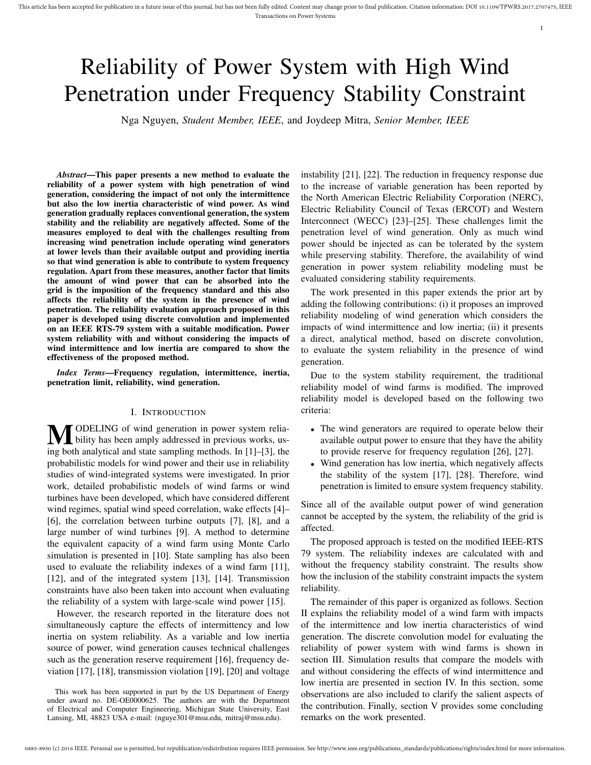# Reliability of Power System with High Wind Penetration under Frequency Stability Constraint

Nga Nguyen, *Student Member, IEEE*, and Joydeep Mitra, *Senior Member, IEEE*

*Abstract*—This paper presents a new method to evaluate the reliability of a power system with high penetration of wind generation, considering the impact of not only the intermittence but also the low inertia characteristic of wind power. As wind generation gradually replaces conventional generation, the system stability and the reliability are negatively affected. Some of the measures employed to deal with the challenges resulting from increasing wind penetration include operating wind generators at lower levels than their available output and providing inertia so that wind generation is able to contribute to system frequency regulation. Apart from these measures, another factor that limits the amount of wind power that can be absorbed into the grid is the imposition of the frequency standard and this also affects the reliability of the system in the presence of wind penetration. The reliability evaluation approach proposed in this paper is developed using discrete convolution and implemented on an IEEE RTS-79 system with a suitable modification. Power system reliability with and without considering the impacts of wind intermittence and low inertia are compared to show the effectiveness of the proposed method.

*Index Terms*—Frequency regulation, intermittence, inertia, penetration limit, reliability, wind generation.

#### I. INTRODUCTION

**M** ODELING of wind generation in power system relia-<br>bility has been amply addressed in previous works, us-<br>iso hather predicted and the countling matheds. In [1], [2], the ing both analytical and state sampling methods. In [1]–[3], the probabilistic models for wind power and their use in reliability studies of wind-integrated systems were investigated. In prior work, detailed probabilistic models of wind farms or wind turbines have been developed, which have considered different wind regimes, spatial wind speed correlation, wake effects [4]– [6], the correlation between turbine outputs [7], [8], and a large number of wind turbines [9]. A method to determine the equivalent capacity of a wind farm using Monte Carlo simulation is presented in [10]. State sampling has also been used to evaluate the reliability indexes of a wind farm [11], [12], and of the integrated system [13], [14]. Transmission constraints have also been taken into account when evaluating the reliability of a system with large-scale wind power [15].

However, the research reported in the literature does not simultaneously capture the effects of intermittency and low inertia on system reliability. As a variable and low inertia source of power, wind generation causes technical challenges such as the generation reserve requirement [16], frequency deviation [17], [18], transmission violation [19], [20] and voltage

This work has been supported in part by the US Department of Energy under award no. DE-OE0000625. The authors are with the Department of Electrical and Computer Engineering, Michigan State University, East Lansing, MI, 48823 USA e-mail: (nguye301@msu.edu, mitraj@msu.edu).

instability [21], [22]. The reduction in frequency response due to the increase of variable generation has been reported by the North American Electric Reliability Corporation (NERC), Electric Reliability Council of Texas (ERCOT) and Western Interconnect (WECC) [23]–[25]. These challenges limit the penetration level of wind generation. Only as much wind power should be injected as can be tolerated by the system while preserving stability. Therefore, the availability of wind generation in power system reliability modeling must be evaluated considering stability requirements.

1

The work presented in this paper extends the prior art by adding the following contributions: (i) it proposes an improved reliability modeling of wind generation which considers the impacts of wind intermittence and low inertia; (ii) it presents a direct, analytical method, based on discrete convolution, to evaluate the system reliability in the presence of wind generation.

Due to the system stability requirement, the traditional reliability model of wind farms is modified. The improved reliability model is developed based on the following two criteria:

- The wind generators are required to operate below their available output power to ensure that they have the ability to provide reserve for frequency regulation [26], [27].
- Wind generation has low inertia, which negatively affects the stability of the system [17], [28]. Therefore, wind penetration is limited to ensure system frequency stability.

Since all of the available output power of wind generation cannot be accepted by the system, the reliability of the grid is affected.

The proposed approach is tested on the modified IEEE-RTS 79 system. The reliability indexes are calculated with and without the frequency stability constraint. The results show how the inclusion of the stability constraint impacts the system reliability.

The remainder of this paper is organized as follows. Section II explains the reliability model of a wind farm with impacts of the intermittence and low inertia characteristics of wind generation. The discrete convolution model for evaluating the reliability of power system with wind farms is shown in section III. Simulation results that compare the models with and without considering the effects of wind intermittence and low inertia are presented in section IV. In this section, some observations are also included to clarify the salient aspects of the contribution. Finally, section V provides some concluding remarks on the work presented.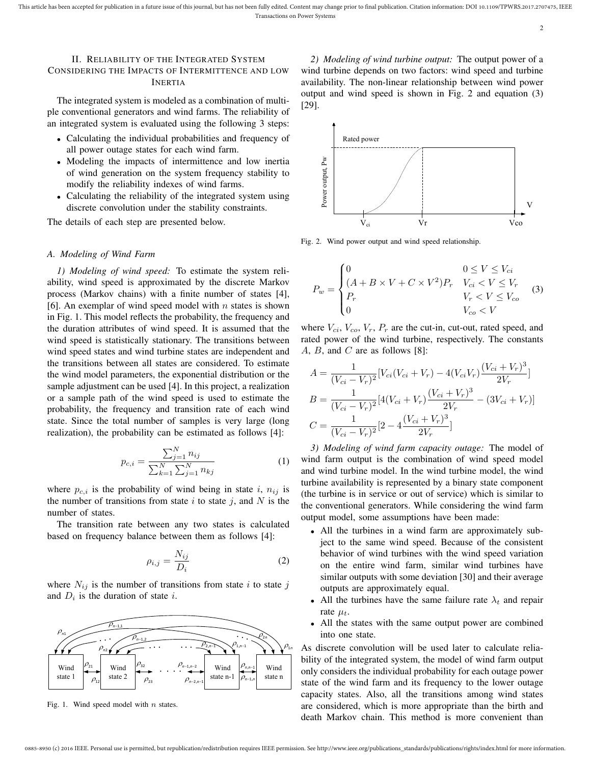## II. RELIABILITY OF THE INTEGRATED SYSTEM CONSIDERING THE IMPACTS OF INTERMITTENCE AND LOW INERTIA

The integrated system is modeled as a combination of multiple conventional generators and wind farms. The reliability of an integrated system is evaluated using the following 3 steps:

- Calculating the individual probabilities and frequency of all power outage states for each wind farm.
- Modeling the impacts of intermittence and low inertia of wind generation on the system frequency stability to modify the reliability indexes of wind farms.
- Calculating the reliability of the integrated system using discrete convolution under the stability constraints.

The details of each step are presented below.

## *A. Modeling of Wind Farm*

*1) Modeling of wind speed:* To estimate the system reliability, wind speed is approximated by the discrete Markov process (Markov chains) with a finite number of states [4], [6]. An exemplar of wind speed model with  $n$  states is shown in Fig. 1. This model reflects the probability, the frequency and the duration attributes of wind speed. It is assumed that the wind speed is statistically stationary. The transitions between wind speed states and wind turbine states are independent and the transitions between all states are considered. To estimate the wind model parameters, the exponential distribution or the sample adjustment can be used [4]. In this project, a realization or a sample path of the wind speed is used to estimate the probability, the frequency and transition rate of each wind state. Since the total number of samples is very large (long realization), the probability can be estimated as follows [4]:

$$
p_{c,i} = \frac{\sum_{j=1}^{N} n_{ij}}{\sum_{k=1}^{N} \sum_{j=1}^{N} n_{kj}}
$$
(1)

where  $p_{c,i}$  is the probability of wind being in state i,  $n_{ij}$  is the number of transitions from state i to state j, and N is the number of states.

The transition rate between any two states is calculated based on frequency balance between them as follows [4]:

$$
\rho_{i,j} = \frac{N_{ij}}{D_i} \tag{2}
$$

where  $N_{ij}$  is the number of transitions from state i to state j and  $D_i$  is the duration of state *i*.



Fig. 1. Wind speed model with  $n$  states.

*2) Modeling of wind turbine output:* The output power of a wind turbine depends on two factors: wind speed and turbine availability. The non-linear relationship between wind power output and wind speed is shown in Fig. 2 and equation (3) [29].



Fig. 2. Wind power output and wind speed relationship.

$$
P_w = \begin{cases} 0 & 0 \le V \le V_{ci} \\ (A + B \times V + C \times V^2) P_r & V_{ci} < V \le V_r \\ P_r & V_r < V \le V_{co} \\ 0 & V_{co} < V \end{cases}
$$
 (3)

where  $V_{ci}$ ,  $V_{co}$ ,  $V_r$ ,  $P_r$  are the cut-in, cut-out, rated speed, and rated power of the wind turbine, respectively. The constants A, B, and C are as follows  $[8]$ :

$$
A = \frac{1}{(V_{ci} - V_r)^2} [V_{ci}(V_{ci} + V_r) - 4(V_{ci}V_r)\frac{(V_{ci} + V_r)^3}{2V_r}]
$$
  
\n
$$
B = \frac{1}{(V_{ci} - V_r)^2} [4(V_{ci} + V_r)\frac{(V_{ci} + V_r)^3}{2V_r} - (3V_{ci} + V_r)]
$$
  
\n
$$
C = \frac{1}{(V_{ci} - V_r)^2} [2 - 4\frac{(V_{ci} + V_r)^3}{2V_r}]
$$

*3) Modeling of wind farm capacity outage:* The model of wind farm output is the combination of wind speed model and wind turbine model. In the wind turbine model, the wind turbine availability is represented by a binary state component (the turbine is in service or out of service) which is similar to the conventional generators. While considering the wind farm output model, some assumptions have been made:

- All the turbines in a wind farm are approximately subject to the same wind speed. Because of the consistent behavior of wind turbines with the wind speed variation on the entire wind farm, similar wind turbines have similar outputs with some deviation [30] and their average outputs are approximately equal.
- All the turbines have the same failure rate  $\lambda_t$  and repair rate  $\mu_t$ .
- All the states with the same output power are combined into one state.

As discrete convolution will be used later to calculate reliability of the integrated system, the model of wind farm output only considers the individual probability for each outage power state of the wind farm and its frequency to the lower outage capacity states. Also, all the transitions among wind states are considered, which is more appropriate than the birth and death Markov chain. This method is more convenient than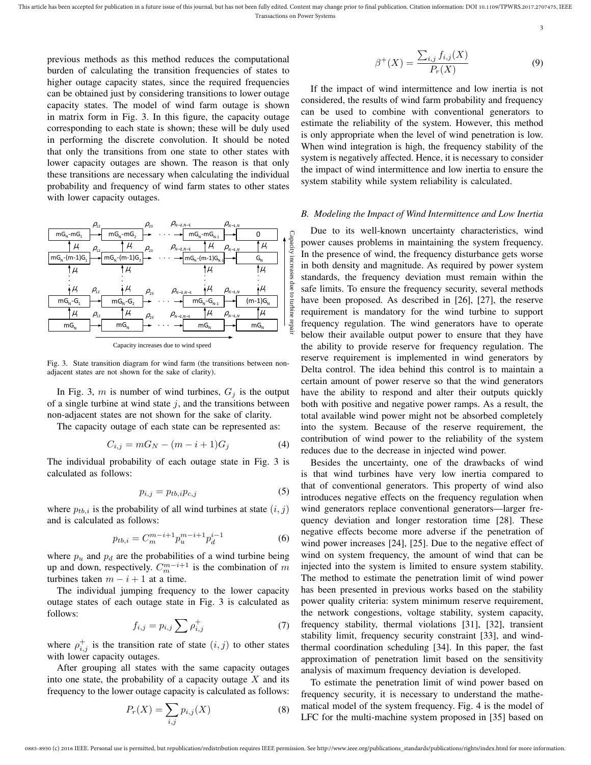3

previous methods as this method reduces the computational burden of calculating the transition frequencies of states to higher outage capacity states, since the required frequencies can be obtained just by considering transitions to lower outage capacity states. The model of wind farm outage is shown in matrix form in Fig. 3. In this figure, the capacity outage corresponding to each state is shown; these will be duly used in performing the discrete convolution. It should be noted that only the transitions from one state to other states with lower capacity outages are shown. The reason is that only these transitions are necessary when calculating the individual probability and frequency of wind farm states to other states with lower capacity outages.



Capacity increases due to wind speed

Fig. 3. State transition diagram for wind farm (the transitions between nonadjacent states are not shown for the sake of clarity).

In Fig. 3, m is number of wind turbines,  $G_i$  is the output of a single turbine at wind state  $j$ , and the transitions between non-adjacent states are not shown for the sake of clarity.

The capacity outage of each state can be represented as:

$$
C_{i,j} = mG_N - (m - i + 1)G_j \tag{4}
$$

The individual probability of each outage state in Fig. 3 is calculated as follows:

$$
p_{i,j} = p_{tb,i} p_{c,j} \tag{5}
$$

where  $p_{tb,i}$  is the probability of all wind turbines at state  $(i, j)$ and is calculated as follows:

$$
p_{tb,i} = C_m^{m-i+1} p_u^{m-i+1} p_d^{i-1}
$$
 (6)

where  $p_u$  and  $p_d$  are the probabilities of a wind turbine being up and down, respectively.  $C_m^{m-i+1}$  is the combination of m turbines taken  $m - i + 1$  at a time.

The individual jumping frequency to the lower capacity outage states of each outage state in Fig. 3 is calculated as follows:

$$
f_{i,j} = p_{i,j} \sum \rho_{i,j}^+ \tag{7}
$$

where  $\rho_{i,j}^{+}$  is the transition rate of state  $(i, j)$  to other states with lower capacity outages.

After grouping all states with the same capacity outages into one state, the probability of a capacity outage  $X$  and its frequency to the lower outage capacity is calculated as follows:

$$
P_r(X) = \sum_{i,j} p_{i,j}(X) \tag{8}
$$

$$
\beta^+(X) = \frac{\sum_{i,j} f_{i,j}(X)}{P_r(X)}\tag{9}
$$

If the impact of wind intermittence and low inertia is not considered, the results of wind farm probability and frequency can be used to combine with conventional generators to estimate the reliability of the system. However, this method is only appropriate when the level of wind penetration is low. When wind integration is high, the frequency stability of the system is negatively affected. Hence, it is necessary to consider the impact of wind intermittence and low inertia to ensure the system stability while system reliability is calculated.

#### *B. Modeling the Impact of Wind Intermittence and Low Inertia*

Due to its well-known uncertainty characteristics, wind power causes problems in maintaining the system frequency. In the presence of wind, the frequency disturbance gets worse in both density and magnitude. As required by power system standards, the frequency deviation must remain within the safe limits. To ensure the frequency security, several methods have been proposed. As described in [26], [27], the reserve requirement is mandatory for the wind turbine to support frequency regulation. The wind generators have to operate below their available output power to ensure that they have the ability to provide reserve for frequency regulation. The reserve requirement is implemented in wind generators by Delta control. The idea behind this control is to maintain a certain amount of power reserve so that the wind generators have the ability to respond and alter their outputs quickly both with positive and negative power ramps. As a result, the total available wind power might not be absorbed completely into the system. Because of the reserve requirement, the contribution of wind power to the reliability of the system reduces due to the decrease in injected wind power.

Besides the uncertainty, one of the drawbacks of wind is that wind turbines have very low inertia compared to that of conventional generators. This property of wind also introduces negative effects on the frequency regulation when wind generators replace conventional generators—larger frequency deviation and longer restoration time [28]. These negative effects become more adverse if the penetration of wind power increases [24], [25]. Due to the negative effect of wind on system frequency, the amount of wind that can be injected into the system is limited to ensure system stability. The method to estimate the penetration limit of wind power has been presented in previous works based on the stability power quality criteria: system minimum reserve requirement, the network congestions, voltage stability, system capacity, frequency stability, thermal violations [31], [32], transient stability limit, frequency security constraint [33], and windthermal coordination scheduling [34]. In this paper, the fast approximation of penetration limit based on the sensitivity analysis of maximum frequency deviation is developed.

To estimate the penetration limit of wind power based on frequency security, it is necessary to understand the mathematical model of the system frequency. Fig. 4 is the model of LFC for the multi-machine system proposed in [35] based on

0885-8950 (c) 2016 IEEE. Personal use is permitted, but republication/redistribution requires IEEE permission. See http://www.ieee.org/publications\_standards/publications/rights/index.html for more information.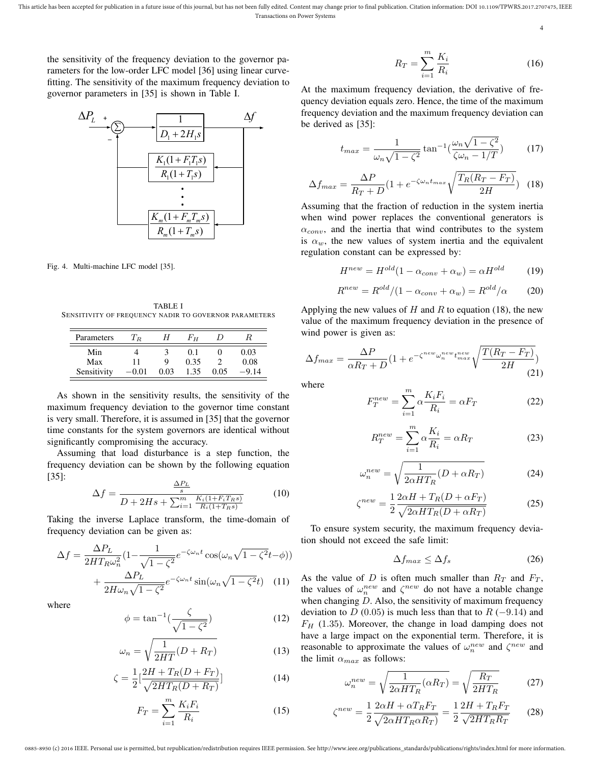4

the sensitivity of the frequency deviation to the governor parameters for the low-order LFC model [36] using linear curvefitting. The sensitivity of the maximum frequency deviation to governor parameters in [35] is shown in Table I.



Fig. 4. Multi-machine LFC model [35].

TABLE I SENSITIVITY OF FREQUENCY NADIR TO GOVERNOR PARAMETERS

| Parameters  | $T_R$     |      | Fи   |      |         |
|-------------|-----------|------|------|------|---------|
| Min         |           |      | 0.1  |      | 0.03    |
| Max         | 11        | Q    | 0.35 |      | 0.08    |
| Sensitivity | $-0.01\,$ | 0.03 | 1.35 | 0.05 | $-9.14$ |

As shown in the sensitivity results, the sensitivity of the maximum frequency deviation to the governor time constant is very small. Therefore, it is assumed in [35] that the governor time constants for the system governors are identical without significantly compromising the accuracy.

Assuming that load disturbance is a step function, the frequency deviation can be shown by the following equation [35]:  $\Delta$  P

$$
\Delta f = \frac{\frac{\Delta F_L}{s}}{D + 2Hs + \sum_{i=1}^{m} \frac{K_i(1 + F_i T_R s)}{R_i(1 + T_R s)}}
$$
(10)

Taking the inverse Laplace transform, the time-domain of frequency deviation can be given as:

$$
\Delta f = \frac{\Delta P_L}{2HT_R\omega_n^2} \left(1 - \frac{1}{\sqrt{1 - \zeta^2}} e^{-\zeta \omega_n t} \cos(\omega_n \sqrt{1 - \zeta^2} t - \phi)\right) + \frac{\Delta P_L}{2H\omega_n \sqrt{1 - \zeta^2}} e^{-\zeta \omega_n t} \sin(\omega_n \sqrt{1 - \zeta^2} t) \tag{11}
$$

where

$$
\phi = \tan^{-1}\left(\frac{\zeta}{\sqrt{1-\zeta^2}}\right) \tag{12}
$$

$$
\omega_n = \sqrt{\frac{1}{2HT}(D + R_T)}\tag{13}
$$

$$
\zeta = \frac{1}{2} \left[ \frac{2H + T_R(D + F_T)}{\sqrt{2HT_R(D + R_T)}} \right]
$$
(14)

$$
F_T = \sum_{i=1}^{m} \frac{K_i F_i}{R_i} \tag{15}
$$

$$
R_T = \sum_{i=1}^{m} \frac{K_i}{R_i} \tag{16}
$$

At the maximum frequency deviation, the derivative of frequency deviation equals zero. Hence, the time of the maximum frequency deviation and the maximum frequency deviation can be derived as [35]:

$$
t_{max} = \frac{1}{\omega_n \sqrt{1 - \zeta^2}} \tan^{-1} \left( \frac{\omega_n \sqrt{1 - \zeta^2}}{\zeta \omega_n - 1/T} \right) \tag{17}
$$

$$
\Delta f_{max} = \frac{\Delta P}{R_T + D} \left( 1 + e^{-\zeta \omega_n t_{max}} \sqrt{\frac{T_R (R_T - F_T)}{2H}} \right) \tag{18}
$$

Assuming that the fraction of reduction in the system inertia when wind power replaces the conventional generators is  $\alpha_{conv}$ , and the inertia that wind contributes to the system is  $\alpha_w$ , the new values of system inertia and the equivalent regulation constant can be expressed by:

$$
H^{new} = H^{old}(1 - \alpha_{conv} + \alpha_w) = \alpha H^{old} \tag{19}
$$

$$
R^{new} = R^{old} / (1 - \alpha_{conv} + \alpha_w) = R^{old} / \alpha \tag{20}
$$

Applying the new values of H and R to equation (18), the new value of the maximum frequency deviation in the presence of wind power is given as:

$$
\Delta f_{max} = \frac{\Delta P}{\alpha R_T + D} (1 + e^{-\zeta^{new} \omega_n^{new} t_{max}^{new}} \sqrt{\frac{T(R_T - F_T)}{2H}})
$$
\n(21)

where

$$
F_T^{new} = \sum_{i=1}^{m} \alpha \frac{K_i F_i}{R_i} = \alpha F_T \tag{22}
$$

$$
R_T^{new} = \sum_{i=1}^m \alpha \frac{K_i}{R_i} = \alpha R_T \tag{23}
$$

$$
\omega_n^{new} = \sqrt{\frac{1}{2\alpha HT_R}(D + \alpha R_T)}
$$
(24)

$$
\zeta^{new} = \frac{1}{2} \frac{2\alpha H + T_R(D + \alpha F_T)}{\sqrt{2\alpha HT_R(D + \alpha R_T)}}\tag{25}
$$

To ensure system security, the maximum frequency deviation should not exceed the safe limit:

$$
\Delta f_{max} \le \Delta f_s \tag{26}
$$

As the value of D is often much smaller than  $R_T$  and  $F_T$ , the values of  $\omega_n^{new}$  and  $\zeta^{new}$  do not have a notable change when changing  $D$ . Also, the sensitivity of maximum frequency deviation to  $D(0.05)$  is much less than that to  $R(-9.14)$  and  $F_H$  (1.35). Moreover, the change in load damping does not have a large impact on the exponential term. Therefore, it is reasonable to approximate the values of  $\omega_n^{new}$  and  $\zeta^{new}$  and the limit  $\alpha_{max}$  as follows:

$$
\omega_n^{new} = \sqrt{\frac{1}{2\alpha HT_R}(\alpha R_T)} = \sqrt{\frac{R_T}{2HT_R}}
$$
(27)

$$
\zeta^{new} = \frac{1}{2} \frac{2\alpha H + \alpha T_R F_T}{\sqrt{2\alpha H T_R \alpha R_T}} = \frac{1}{2} \frac{2H + T_R F_T}{\sqrt{2 H T_R R_T}} \tag{28}
$$

0885-8950 (c) 2016 IEEE. Personal use is permitted, but republication/redistribution requires IEEE permission. See http://www.ieee.org/publications\_standards/publications/rights/index.html for more information.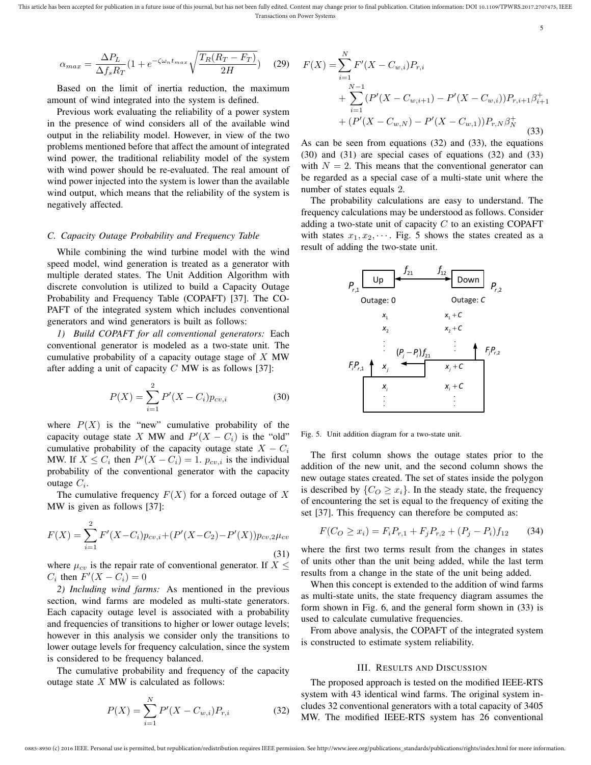$\overline{F}$ 

$$
\alpha_{max} = \frac{\Delta P_L}{\Delta f_s R_T} (1 + e^{-\zeta \omega_n t_{max}} \sqrt{\frac{T_R (R_T - F_T)}{2H}})
$$
(29)

Based on the limit of inertia reduction, the maximum amount of wind integrated into the system is defined.

Previous work evaluating the reliability of a power system in the presence of wind considers all of the available wind output in the reliability model. However, in view of the two problems mentioned before that affect the amount of integrated wind power, the traditional reliability model of the system with wind power should be re-evaluated. The real amount of wind power injected into the system is lower than the available wind output, which means that the reliability of the system is negatively affected.

#### *C. Capacity Outage Probability and Frequency Table*

While combining the wind turbine model with the wind speed model, wind generation is treated as a generator with multiple derated states. The Unit Addition Algorithm with discrete convolution is utilized to build a Capacity Outage Probability and Frequency Table (COPAFT) [37]. The CO-PAFT of the integrated system which includes conventional generators and wind generators is built as follows:

*1) Build COPAFT for all conventional generators:* Each conventional generator is modeled as a two-state unit. The cumulative probability of a capacity outage stage of  $X$  MW after adding a unit of capacity  $C$  MW is as follows [37]:

$$
P(X) = \sum_{i=1}^{2} P'(X - C_i) p_{cv,i}
$$
 (30)

where  $P(X)$  is the "new" cumulative probability of the capacity outage state X MW and  $P'(X - C_i)$  is the "old" cumulative probability of the capacity outage state  $X - C_i$ MW. If  $X \leq C_i$  then  $P'(X - C_i) = 1$ .  $p_{cv,i}$  is the individual probability of the conventional generator with the capacity outage  $C_i$ .

The cumulative frequency  $F(X)$  for a forced outage of X MW is given as follows [37]:

$$
F(X) = \sum_{i=1}^{2} F'(X - C_i) p_{cv,i} + (P'(X - C_2) - P'(X)) p_{cv,2} \mu_{cv}
$$
\n(31)

where  $\mu_{cv}$  is the repair rate of conventional generator. If  $X \leq$  $C_i$  then  $F'(X - C_i) = 0$ 

*2) Including wind farms:* As mentioned in the previous section, wind farms are modeled as multi-state generators. Each capacity outage level is associated with a probability and frequencies of transitions to higher or lower outage levels; however in this analysis we consider only the transitions to lower outage levels for frequency calculation, since the system is considered to be frequency balanced.

The cumulative probability and frequency of the capacity outage state  $X$  MW is calculated as follows:

$$
P(X) = \sum_{i=1}^{N} P'(X - C_{w,i}) P_{r,i}
$$
 (32)

$$
(X) = \sum_{i=1}^{N} F'(X - C_{w,i}) P_{r,i}
$$
  
+ 
$$
\sum_{i=1}^{N-1} (P'(X - C_{w,i+1}) - P'(X - C_{w,i})) P_{r,i+1} \beta_{i+1}^+
$$
  
+ 
$$
(P'(X - C_{w,N}) - P'(X - C_{w,1})) P_{r,N} \beta_N^+
$$
(33)

5

As can be seen from equations (32) and (33), the equations (30) and (31) are special cases of equations (32) and (33) with  $N = 2$ . This means that the conventional generator can be regarded as a special case of a multi-state unit where the number of states equals 2.

The probability calculations are easy to understand. The frequency calculations may be understood as follows. Consider adding a two-state unit of capacity  $C$  to an existing COPAFT with states  $x_1, x_2, \cdots$ . Fig. 5 shows the states created as a result of adding the two-state unit.



Fig. 5. Unit addition diagram for a two-state unit.

The first column shows the outage states prior to the addition of the new unit, and the second column shows the new outage states created. The set of states inside the polygon is described by  $\{C_O \geq x_i\}$ . In the steady state, the frequency of encountering the set is equal to the frequency of exiting the set [37]. This frequency can therefore be computed as:

$$
F(C_O \ge x_i) = F_i P_{r,1} + F_j P_{r,2} + (P_j - P_i) f_{12} \tag{34}
$$

where the first two terms result from the changes in states of units other than the unit being added, while the last term results from a change in the state of the unit being added.

When this concept is extended to the addition of wind farms as multi-state units, the state frequency diagram assumes the form shown in Fig. 6, and the general form shown in (33) is used to calculate cumulative frequencies.

From above analysis, the COPAFT of the integrated system is constructed to estimate system reliability.

#### III. RESULTS AND DISCUSSION

The proposed approach is tested on the modified IEEE-RTS system with 43 identical wind farms. The original system includes 32 conventional generators with a total capacity of 3405 MW. The modified IEEE-RTS system has 26 conventional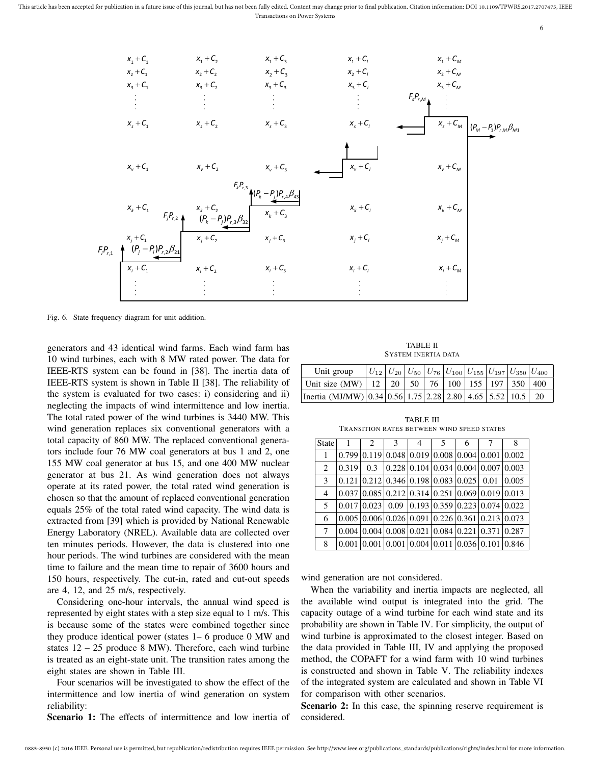This article has been accepted for publication in a future issue of this journal, but has not been fully edited. Content may change prior to final publication. Citation information: DOI 10.1109/TPWRS.2017.2707475, IEEE Transactions on Power Systems

6



Fig. 6. State frequency diagram for unit addition.

generators and 43 identical wind farms. Each wind farm has 10 wind turbines, each with 8 MW rated power. The data for IEEE-RTS system can be found in [38]. The inertia data of IEEE-RTS system is shown in Table II [38]. The reliability of the system is evaluated for two cases: i) considering and ii) neglecting the impacts of wind intermittence and low inertia. The total rated power of the wind turbines is 3440 MW. This wind generation replaces six conventional generators with a total capacity of 860 MW. The replaced conventional generators include four 76 MW coal generators at bus 1 and 2, one 155 MW coal generator at bus 15, and one 400 MW nuclear generator at bus 21. As wind generation does not always operate at its rated power, the total rated wind generation is chosen so that the amount of replaced conventional generation equals 25% of the total rated wind capacity. The wind data is extracted from [39] which is provided by National Renewable Energy Laboratory (NREL). Available data are collected over ten minutes periods. However, the data is clustered into one hour periods. The wind turbines are considered with the mean time to failure and the mean time to repair of 3600 hours and 150 hours, respectively. The cut-in, rated and cut-out speeds are 4, 12, and 25 m/s, respectively.

Considering one-hour intervals, the annual wind speed is represented by eight states with a step size equal to 1 m/s. This is because some of the states were combined together since they produce identical power (states 1– 6 produce 0 MW and states  $12 - 25$  produce 8 MW). Therefore, each wind turbine is treated as an eight-state unit. The transition rates among the eight states are shown in Table III.

Four scenarios will be investigated to show the effect of the intermittence and low inertia of wind generation on system reliability:

Scenario 1: The effects of intermittence and low inertia of

TABLE II SYSTEM INERTIA DATA

| Unit group                                                                                                         |  |  |  |  | $ U_{12} U_{20} U_{50} U_{76} U_{100} U_{155} U_{197} U_{350} U_{400} $ |
|--------------------------------------------------------------------------------------------------------------------|--|--|--|--|-------------------------------------------------------------------------|
| Unit size (MW)   12   20   50   76   100   155   197   350   400                                                   |  |  |  |  |                                                                         |
| Inertia (MJ/MW) $\vert 0.34 \vert 0.56 \vert 1.75 \vert 2.28 \vert 2.80 \vert 4.65 \vert 5.52 \vert 10.5 \vert 20$ |  |  |  |  |                                                                         |

TABLE III TRANSITION RATES BETWEEN WIND SPEED STATES

| <b>State</b> |       | 2   | 3                                                                                    | 4 | $\sim$ | 6 | 8 |
|--------------|-------|-----|--------------------------------------------------------------------------------------|---|--------|---|---|
| 1            |       |     | $0.799 \mid 0.119 \mid 0.048 \mid 0.019 \mid 0.008 \mid 0.004 \mid 0.001 \mid 0.002$ |   |        |   |   |
| 2            | 0.319 | 0.3 | $(0.228 \, 0.104 \, 0.034 \, 0.004 \, 0.007 \, 0.003$                                |   |        |   |   |
| 3            |       |     | $0.121 \mid 0.212 \mid 0.346 \mid 0.198 \mid 0.083 \mid 0.025 \mid 0.01 \mid 0.005$  |   |        |   |   |
| 4            |       |     | $0.037 \mid 0.085 \mid 0.212 \mid 0.314 \mid 0.251 \mid 0.069 \mid 0.019 \mid 0.013$ |   |        |   |   |
| 5            |       |     | $0.017 \mid 0.023 \mid 0.09 \mid 0.193 \mid 0.359 \mid 0.223 \mid 0.074 \mid 0.022$  |   |        |   |   |
| 6            |       |     | $0.005 \mid 0.006 \mid 0.026 \mid 0.091 \mid 0.226 \mid 0.361 \mid 0.213 \mid 0.073$ |   |        |   |   |
| $\tau$       |       |     | $0.004 \mid 0.004 \mid 0.008 \mid 0.021 \mid 0.084 \mid 0.221 \mid 0.371 \mid 0.287$ |   |        |   |   |
| 8            |       |     | $0.001 \mid 0.001 \mid 0.001 \mid 0.004 \mid 0.011 \mid 0.036 \mid 0.101 \mid 0.846$ |   |        |   |   |

wind generation are not considered.

When the variability and inertia impacts are neglected, all the available wind output is integrated into the grid. The capacity outage of a wind turbine for each wind state and its probability are shown in Table IV. For simplicity, the output of wind turbine is approximated to the closest integer. Based on the data provided in Table III, IV and applying the proposed method, the COPAFT for a wind farm with 10 wind turbines is constructed and shown in Table V. The reliability indexes of the integrated system are calculated and shown in Table VI for comparison with other scenarios.

Scenario 2: In this case, the spinning reserve requirement is considered.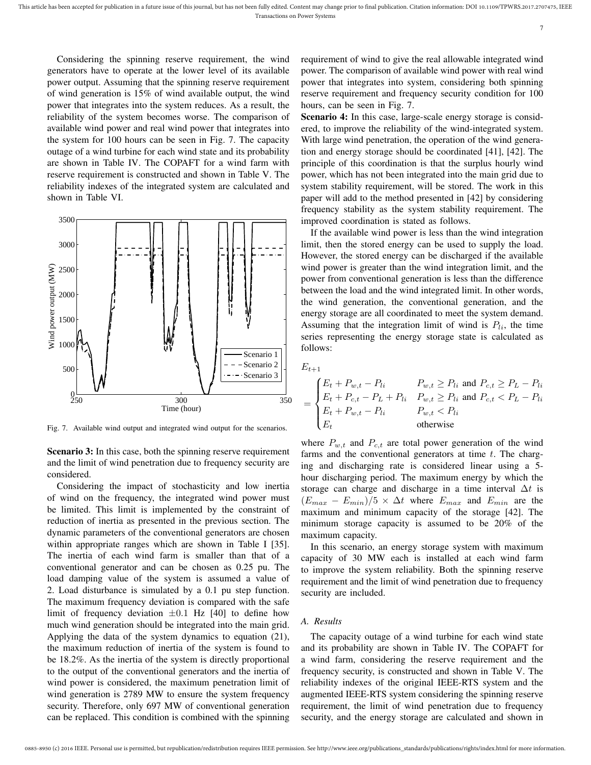Considering the spinning reserve requirement, the wind generators have to operate at the lower level of its available power output. Assuming that the spinning reserve requirement of wind generation is 15% of wind available output, the wind power that integrates into the system reduces. As a result, the reliability of the system becomes worse. The comparison of available wind power and real wind power that integrates into the system for 100 hours can be seen in Fig. 7. The capacity outage of a wind turbine for each wind state and its probability are shown in Table IV. The COPAFT for a wind farm with reserve requirement is constructed and shown in Table V. The reliability indexes of the integrated system are calculated and shown in Table VI.



Fig. 7. Available wind output and integrated wind output for the scenarios.

Scenario 3: In this case, both the spinning reserve requirement and the limit of wind penetration due to frequency security are considered.

Considering the impact of stochasticity and low inertia of wind on the frequency, the integrated wind power must be limited. This limit is implemented by the constraint of reduction of inertia as presented in the previous section. The dynamic parameters of the conventional generators are chosen within appropriate ranges which are shown in Table I [35]. The inertia of each wind farm is smaller than that of a conventional generator and can be chosen as 0.25 pu. The load damping value of the system is assumed a value of 2. Load disturbance is simulated by a 0.1 pu step function. The maximum frequency deviation is compared with the safe limit of frequency deviation  $\pm 0.1$  Hz [40] to define how much wind generation should be integrated into the main grid. Applying the data of the system dynamics to equation (21), the maximum reduction of inertia of the system is found to be 18.2%. As the inertia of the system is directly proportional to the output of the conventional generators and the inertia of wind power is considered, the maximum penetration limit of wind generation is 2789 MW to ensure the system frequency security. Therefore, only 697 MW of conventional generation can be replaced. This condition is combined with the spinning

requirement of wind to give the real allowable integrated wind power. The comparison of available wind power with real wind power that integrates into system, considering both spinning reserve requirement and frequency security condition for 100 hours, can be seen in Fig. 7.

Scenario 4: In this case, large-scale energy storage is considered, to improve the reliability of the wind-integrated system. With large wind penetration, the operation of the wind generation and energy storage should be coordinated [41], [42]. The principle of this coordination is that the surplus hourly wind power, which has not been integrated into the main grid due to system stability requirement, will be stored. The work in this paper will add to the method presented in [42] by considering frequency stability as the system stability requirement. The improved coordination is stated as follows.

If the available wind power is less than the wind integration limit, then the stored energy can be used to supply the load. However, the stored energy can be discharged if the available wind power is greater than the wind integration limit, and the power from conventional generation is less than the difference between the load and the wind integrated limit. In other words, the wind generation, the conventional generation, and the energy storage are all coordinated to meet the system demand. Assuming that the integration limit of wind is  $P_{li}$ , the time series representing the energy storage state is calculated as follows:

 $E_{t+1}$ 

$$
= \begin{cases} E_t + P_{w,t} - P_{li} & P_{w,t} \ge P_{li} \text{ and } P_{c,t} \ge P_L - P_{li} \\ E_t + P_{c,t} - P_L + P_{li} & P_{w,t} \ge P_{li} \text{ and } P_{c,t} < P_L - P_{li} \\ E_t + P_{w,t} - P_{li} & P_{w,t} < P_{li} \\ E_t & \text{otherwise} \end{cases}
$$

where  $P_{w,t}$  and  $P_{c,t}$  are total power generation of the wind farms and the conventional generators at time  $t$ . The charging and discharging rate is considered linear using a 5 hour discharging period. The maximum energy by which the storage can charge and discharge in a time interval  $\Delta t$  is  $(E_{max} - E_{min})/5 \times \Delta t$  where  $E_{max}$  and  $E_{min}$  are the maximum and minimum capacity of the storage [42]. The minimum storage capacity is assumed to be 20% of the maximum capacity.

In this scenario, an energy storage system with maximum capacity of 30 MW each is installed at each wind farm to improve the system reliability. Both the spinning reserve requirement and the limit of wind penetration due to frequency security are included.

#### *A. Results*

The capacity outage of a wind turbine for each wind state and its probability are shown in Table IV. The COPAFT for a wind farm, considering the reserve requirement and the frequency security, is constructed and shown in Table V. The reliability indexes of the original IEEE-RTS system and the augmented IEEE-RTS system considering the spinning reserve requirement, the limit of wind penetration due to frequency security, and the energy storage are calculated and shown in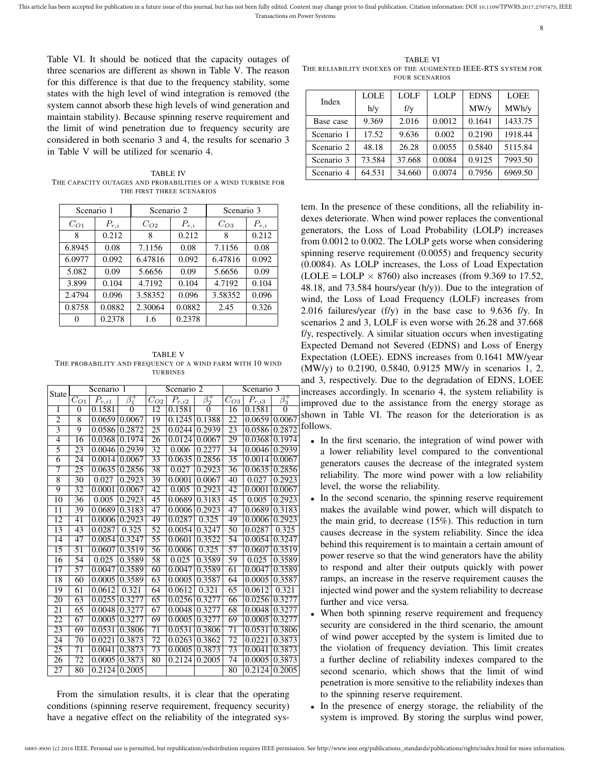8

Table VI. It should be noticed that the capacity outages of three scenarios are different as shown in Table V. The reason for this difference is that due to the frequency stability, some states with the high level of wind integration is removed (the system cannot absorb these high levels of wind generation and maintain stability). Because spinning reserve requirement and the limit of wind penetration due to frequency security are considered in both scenario 3 and 4, the results for scenario 3 in Table V will be utilized for scenario 4.

TABLE IV THE CAPACITY OUTAGES AND PROBABILITIES OF A WIND TURBINE FOR THE FIRST THREE SCENARIOS

| Scenario 1 |           | Scenario 2 |           | Scenario 3 |           |  |
|------------|-----------|------------|-----------|------------|-----------|--|
| $C_{O1}$   | $P_{r,i}$ | $C_{O2}$   | $P_{r,i}$ | $C_{O3}$   | $P_{r,i}$ |  |
| 8          | 0.212     | 8          | 0.212     | 8          | 0.212     |  |
| 6.8945     | 0.08      | 7.1156     | 0.08      | 7.1156     | 0.08      |  |
| 6.0977     | 0.092     | 6.47816    | 0.092     | 6.47816    | 0.092     |  |
| 5.082      | 0.09      | 5.6656     | 0.09      | 5.6656     | 0.09      |  |
| 3.899      | 0.104     | 4.7192     | 0.104     | 4.7192     | 0.104     |  |
| 2.4794     | 0.096     | 3.58352    | 0.096     | 3.58352    | 0.096     |  |
| 0.8758     | 0.0882    | 2.30064    | 0.0882    | 2.45       | 0.326     |  |
| 0          | 0.2378    | 1.6        | 0.2378    |            |           |  |

TABLE V THE PROBABILITY AND FREQUENCY OF A WIND FARM WITH 10 WIND TURBINES

| <b>State</b>    | Scenario 1          |                                    |                        | Scenario 2      |                                   | Scenario 3             |                     |                              |                        |
|-----------------|---------------------|------------------------------------|------------------------|-----------------|-----------------------------------|------------------------|---------------------|------------------------------|------------------------|
|                 | $\overline{C_{O1}}$ | $\overline{P}_{r, \underline{i1}}$ | $\overline{\beta_1^+}$ | $C_{O2}$        | $\overline{P}_{r,\underline{i}2}$ | $\overline{\beta_2^+}$ | $\overline{C}_{O3}$ | $\bar{P}_{r,\underline{i3}}$ | $\overline{\beta_3^+}$ |
| 1               | $\theta$            | 0.1581                             | 0                      | 12              | 0.1581                            | $\theta$               | 16                  | 0.1581                       | 0                      |
| $\overline{2}$  | $\overline{8}$      | 0.0659                             | 0.0067                 | 19              | 0.1245                            | 0.1388                 | 22                  | 0.0659                       | 0.0067                 |
| $\overline{3}$  | 9                   | 0.0586                             | 0.2872                 | 25              | 0.0244                            | 0.2939                 | 23                  | 0.0586                       | $0.\overline{2872}$    |
| $\overline{4}$  | 16                  | 0.0368                             | 0.1974                 | 26              | 0.0124                            | 0.0067                 | 29                  | 0.0368                       | 0.1974                 |
| 5               | 23                  | 0.0046                             | 0.2939                 | 32              | 0.006                             | 0.2277                 | 34                  | 0.0046                       | 0.2939                 |
| $\overline{6}$  | 24                  | 0.0014                             | 0.0067                 | 33              | 0.0635                            | 0.2856                 | $\overline{35}$     | 0.0014                       | 0.0067                 |
| 7               | 25                  | 0.0635                             | 0.2856                 | 38              | 0.027                             | 0.2923                 | 36                  | 0.0635                       | 0.2856                 |
| $\overline{8}$  | 30                  | 0.027                              | 0.2923                 | 39              | 0.0001                            | 0.0067                 | 40                  | 0.027                        | 0.2923                 |
| 9               | 32                  | 0.0001                             | 0.0067                 | 42              | 0.005                             | 0.2923                 | 42                  | 0.0001                       | 0.0067                 |
| 10              | $\overline{36}$     | 0.005                              | 0.2923                 | 45              | 0.0689                            | 0.3183                 | 45                  | 0.005                        | 0.2923                 |
| $\overline{11}$ | 39                  | 0.0689                             | 0.3183                 | 47              | 0.0006                            | 0.2923                 | 47                  | 0.0689                       | 0.3183                 |
| 12              | $\overline{41}$     | 0.0006                             | 0.2923                 | 49              | 0.0287                            | 0.325                  | 49                  | 0.0006                       | 0.2923                 |
| 13              | 43                  | 0.0287                             | 0.325                  | $\overline{52}$ | 0.0054                            | 0.3247                 | 50                  | 0.0287                       | 0.325                  |
| 14              | 47                  | 0.0054                             | 0.3247                 | 55              | 0.0601                            | 0.3522                 | $\overline{54}$     | 0.0054                       | 0.3247                 |
| 15              | 51                  | 0.0607                             | 0.3519                 | 56              | 0.0006                            | 0.325                  | 57                  | 0.0607                       | 0.3519                 |
| 16              | $\overline{54}$     | 0.025                              | 0.3589                 | $\overline{58}$ | 0.025                             | 0.3589                 | 59                  | 0.025                        | 0.3589                 |
| 17              | 57                  | 0.0047                             | 0.3589                 | 60              | 0.0047                            | 0.3589                 | 61                  | 0.0047                       | 0.3589                 |
| 18              | 60                  | 0.0005                             | 0.3589                 | 63              | 0.0005                            | 0.3587                 | 64                  | 0.0005                       | 0.3587                 |
| 19              | 61                  | 0.0612                             | 0.321                  | 64              | 0.0612                            | 0.321                  | $\overline{65}$     | 0.0612                       | 0.321                  |
| 20              | 63                  | 0.0255                             | 0.3277                 | 65              | 0.0256                            | 0.3277                 | 66                  | 0.0256                       | 0.3277                 |
| 21              | 65                  | 0.0048                             | 0.3277                 | 67              | 0.0048                            | 0.3277                 | 68                  | 0.0048                       | 0.3277                 |
| $\overline{22}$ | 67                  | 0.0005                             | 0.3277                 | 69              | 0.0005                            | 0.3277                 | 69                  | 0.0005                       | 0.3277                 |
| 23              | 69                  | 0.0531                             | 0.3806                 | 71              | 0.0531                            | 0.3806                 | 71                  | 0.0531                       | 0.3806                 |
| $\overline{24}$ | 70                  | 0.0221                             | 0.3873                 | 72              | 0.0263                            | 0.3862                 | 72                  | 0.0221                       | 0.3873                 |
| 25              | 71                  | 0.0041                             | 0.3873                 | 73              | 0.0005                            | 0.3873                 | 73                  | 0.0041                       | 0.3873                 |
| 26              | 72                  | 0.0005                             | 0.3873                 | 80              | 0.2124                            | 0.2005                 | 74                  | 0.0005                       | 0.3873                 |
| 27              | 80                  | 0.2124                             | 0.2005                 |                 |                                   |                        | 80                  | 0.2124                       | 0.2005                 |

From the simulation results, it is clear that the operating conditions (spinning reserve requirement, frequency security) have a negative effect on the reliability of the integrated sys-

TABLE VI THE RELIABILITY INDEXES OF THE AUGMENTED IEEE-RTS SYSTEM FOR FOUR SCENARIOS

| Index      | <b>LOLE</b> | <b>LOLF</b> | <b>LOLP</b> | <b>EDNS</b> | <b>LOEE</b> |
|------------|-------------|-------------|-------------|-------------|-------------|
|            | h/v         | f/v         |             | MW/v        | MWh/y       |
| Base case  | 9.369       | 2.016       | 0.0012      | 0.1641      | 1433.75     |
| Scenario 1 | 17.52       | 9.636       | 0.002       | 0.2190      | 1918.44     |
| Scenario 2 | 48.18       | 26.28       | 0.0055      | 0.5840      | 5115.84     |
| Scenario 3 | 73.584      | 37.668      | 0.0084      | 0.9125      | 7993.50     |
| Scenario 4 | 64.531      | 34.660      | 0.0074      | 0.7956      | 6969.50     |

tem. In the presence of these conditions, all the reliability indexes deteriorate. When wind power replaces the conventional generators, the Loss of Load Probability (LOLP) increases from 0.0012 to 0.002. The LOLP gets worse when considering spinning reserve requirement (0.0055) and frequency security (0.0084). As LOLP increases, the Loss of Load Expectation (LOLE = LOLP  $\times$  8760) also increases (from 9.369 to 17.52, 48.18, and 73.584 hours/year (h/y)). Due to the integration of wind, the Loss of Load Frequency (LOLF) increases from 2.016 failures/year  $(f/y)$  in the base case to 9.636 f/y. In scenarios 2 and 3, LOLF is even worse with 26.28 and 37.668 f/y, respectively. A similar situation occurs when investigating Expected Demand not Severed (EDNS) and Loss of Energy Expectation (LOEE). EDNS increases from 0.1641 MW/year (MW/y) to 0.2190, 0.5840, 0.9125 MW/y in scenarios 1, 2, and 3, respectively. Due to the degradation of EDNS, LOEE increases accordingly. In scenario 4, the system reliability is improved due to the assistance from the energy storage as shown in Table VI. The reason for the deterioration is as follows.

- In the first scenario, the integration of wind power with a lower reliability level compared to the conventional generators causes the decrease of the integrated system reliability. The more wind power with a low reliability level, the worse the reliability.
- In the second scenario, the spinning reserve requirement makes the available wind power, which will dispatch to the main grid, to decrease (15%). This reduction in turn causes decrease in the system reliability. Since the idea behind this requirement is to maintain a certain amount of power reserve so that the wind generators have the ability to respond and alter their outputs quickly with power ramps, an increase in the reserve requirement causes the injected wind power and the system reliability to decrease further and vice versa.
- When both spinning reserve requirement and frequency security are considered in the third scenario, the amount of wind power accepted by the system is limited due to the violation of frequency deviation. This limit creates a further decline of reliability indexes compared to the second scenario, which shows that the limit of wind penetration is more sensitive to the reliability indexes than to the spinning reserve requirement.
- In the presence of energy storage, the reliability of the system is improved. By storing the surplus wind power,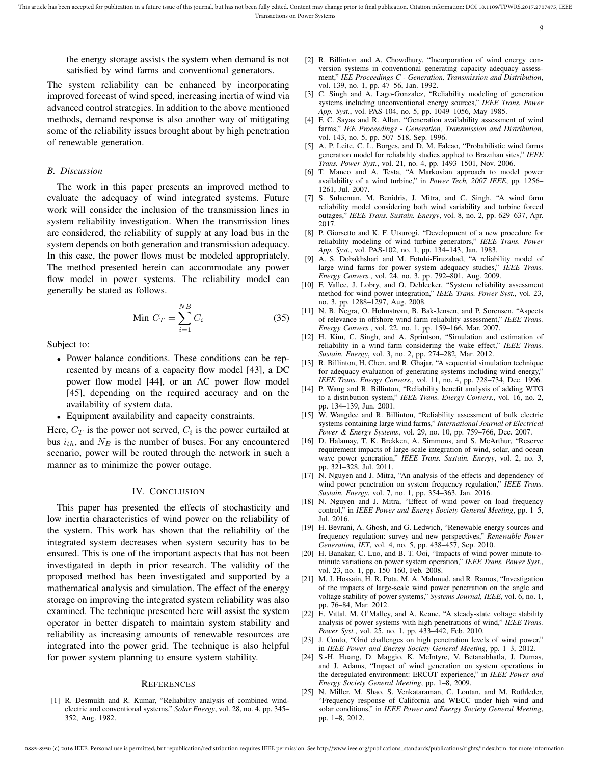the energy storage assists the system when demand is not satisfied by wind farms and conventional generators.

The system reliability can be enhanced by incorporating improved forecast of wind speed, increasing inertia of wind via advanced control strategies. In addition to the above mentioned methods, demand response is also another way of mitigating some of the reliability issues brought about by high penetration of renewable generation.

## *B. Discussion*

The work in this paper presents an improved method to evaluate the adequacy of wind integrated systems. Future work will consider the inclusion of the transmission lines in system reliability investigation. When the transmission lines are considered, the reliability of supply at any load bus in the system depends on both generation and transmission adequacy. In this case, the power flows must be modeled appropriately. The method presented herein can accommodate any power flow model in power systems. The reliability model can generally be stated as follows.

$$
\text{Min } C_T = \sum_{i=1}^{NB} C_i \tag{35}
$$

Subject to:

- Power balance conditions. These conditions can be represented by means of a capacity flow model [43], a DC power flow model [44], or an AC power flow model [45], depending on the required accuracy and on the availability of system data.
- Equipment availability and capacity constraints.

Here,  $C_T$  is the power not served,  $C_i$  is the power curtailed at bus  $i_{th}$ , and  $N_B$  is the number of buses. For any encountered scenario, power will be routed through the network in such a manner as to minimize the power outage.

#### IV. CONCLUSION

This paper has presented the effects of stochasticity and low inertia characteristics of wind power on the reliability of the system. This work has shown that the reliability of the integrated system decreases when system security has to be ensured. This is one of the important aspects that has not been investigated in depth in prior research. The validity of the proposed method has been investigated and supported by a mathematical analysis and simulation. The effect of the energy storage on improving the integrated system reliability was also examined. The technique presented here will assist the system operator in better dispatch to maintain system stability and reliability as increasing amounts of renewable resources are integrated into the power grid. The technique is also helpful for power system planning to ensure system stability.

### **REFERENCES**

[1] R. Desmukh and R. Kumar, "Reliability analysis of combined windelectric and conventional systems," *Solar Energy*, vol. 28, no. 4, pp. 345– 352, Aug. 1982.

[2] R. Billinton and A. Chowdhury, "Incorporation of wind energy conversion systems in conventional generating capacity adequacy assessment," *IEE Proceedings C - Generation, Transmission and Distribution*, vol. 139, no. 1, pp. 47–56, Jan. 1992.

9

- [3] C. Singh and A. Lago-Gonzalez, "Reliability modeling of generation systems including unconventional energy sources," *IEEE Trans. Power App. Syst.*, vol. PAS-104, no. 5, pp. 1049–1056, May 1985.
- [4] F. C. Sayas and R. Allan, "Generation availability assessment of wind farms," *IEE Proceedings - Generation, Transmission and Distribution*, vol. 143, no. 5, pp. 507–518, Sep. 1996.
- [5] A. P. Leite, C. L. Borges, and D. M. Falcao, "Probabilistic wind farms generation model for reliability studies applied to Brazilian sites," *IEEE Trans. Power Syst.*, vol. 21, no. 4, pp. 1493–1501, Nov. 2006.
- [6] T. Manco and A. Testa, "A Markovian approach to model power availability of a wind turbine," in *Power Tech, 2007 IEEE*, pp. 1256– 1261, Jul. 2007.
- [7] S. Sulaeman, M. Benidris, J. Mitra, and C. Singh, "A wind farm reliability model considering both wind variability and turbine forced outages," *IEEE Trans. Sustain. Energy*, vol. 8, no. 2, pp. 629–637, Apr. 2017.
- [8] P. Giorsetto and K. F. Utsurogi, "Development of a new procedure for reliability modeling of wind turbine generators," *IEEE Trans. Power App. Syst.*, vol. PAS-102, no. 1, pp. 134–143, Jan. 1983.
- [9] A. S. Dobakhshari and M. Fotuhi-Firuzabad, "A reliability model of large wind farms for power system adequacy studies," *IEEE Trans. Energy Convers.*, vol. 24, no. 3, pp. 792–801, Aug. 2009.
- [10] F. Vallee, J. Lobry, and O. Deblecker, "System reliability assessment method for wind power integration," *IEEE Trans. Power Syst.*, vol. 23, no. 3, pp. 1288–1297, Aug. 2008.
- [11] N. B. Negra, O. Holmstrøm, B. Bak-Jensen, and P. Sorensen, "Aspects of relevance in offshore wind farm reliability assessment," *IEEE Trans. Energy Convers.*, vol. 22, no. 1, pp. 159–166, Mar. 2007.
- [12] H. Kim, C. Singh, and A. Sprintson, "Simulation and estimation of reliability in a wind farm considering the wake effect," *IEEE Trans. Sustain. Energy*, vol. 3, no. 2, pp. 274–282, Mar. 2012.
- [13] R. Billinton, H. Chen, and R. Ghajar, "A sequential simulation technique for adequacy evaluation of generating systems including wind energy,' *IEEE Trans. Energy Convers.*, vol. 11, no. 4, pp. 728–734, Dec. 1996.
- [14] P. Wang and R. Billinton, "Reliability benefit analysis of adding WTG to a distribution system," *IEEE Trans. Energy Convers.*, vol. 16, no. 2, pp. 134–139, Jun. 2001.
- [15] W. Wangdee and R. Billinton, "Reliability assessment of bulk electric systems containing large wind farms," *International Journal of Electrical Power & Energy Systems*, vol. 29, no. 10, pp. 759–766, Dec. 2007.
- [16] D. Halamay, T. K. Brekken, A. Simmons, and S. McArthur, "Reserve requirement impacts of large-scale integration of wind, solar, and ocean wave power generation," *IEEE Trans. Sustain. Energy*, vol. 2, no. 3, pp. 321–328, Jul. 2011.
- [17] N. Nguyen and J. Mitra, "An analysis of the effects and dependency of wind power penetration on system frequency regulation," *IEEE Trans. Sustain. Energy*, vol. 7, no. 1, pp. 354–363, Jan. 2016.
- [18] N. Nguyen and J. Mitra, "Effect of wind power on load frequency control," in *IEEE Power and Energy Society General Meeting*, pp. 1–5, Jul. 2016.
- [19] H. Bevrani, A. Ghosh, and G. Ledwich, "Renewable energy sources and frequency regulation: survey and new perspectives," *Renewable Power Generation, IET*, vol. 4, no. 5, pp. 438–457, Sep. 2010.
- [20] H. Banakar, C. Luo, and B. T. Ooi, "Impacts of wind power minute-tominute variations on power system operation," *IEEE Trans. Power Syst.*, vol. 23, no. 1, pp. 150–160, Feb. 2008.
- [21] M. J. Hossain, H. R. Pota, M. A. Mahmud, and R. Ramos, "Investigation of the impacts of large-scale wind power penetration on the angle and voltage stability of power systems," *Systems Journal, IEEE*, vol. 6, no. 1, pp. 76–84, Mar. 2012.
- [22] E. Vittal, M. O'Malley, and A. Keane, "A steady-state voltage stability analysis of power systems with high penetrations of wind," *IEEE Trans. Power Syst.*, vol. 25, no. 1, pp. 433–442, Feb. 2010.
- [23] J. Conto, "Grid challenges on high penetration levels of wind power," in *IEEE Power and Energy Society General Meeting*, pp. 1–3, 2012.
- [24] S.-H. Huang, D. Maggio, K. McIntyre, V. Betanabhatla, J. Dumas, and J. Adams, "Impact of wind generation on system operations in the deregulated environment: ERCOT experience," in *IEEE Power and Energy Society General Meeting*, pp. 1–8, 2009.
- [25] N. Miller, M. Shao, S. Venkataraman, C. Loutan, and M. Rothleder, "Frequency response of California and WECC under high wind and solar conditions," in *IEEE Power and Energy Society General Meeting*, pp. 1–8, 2012.